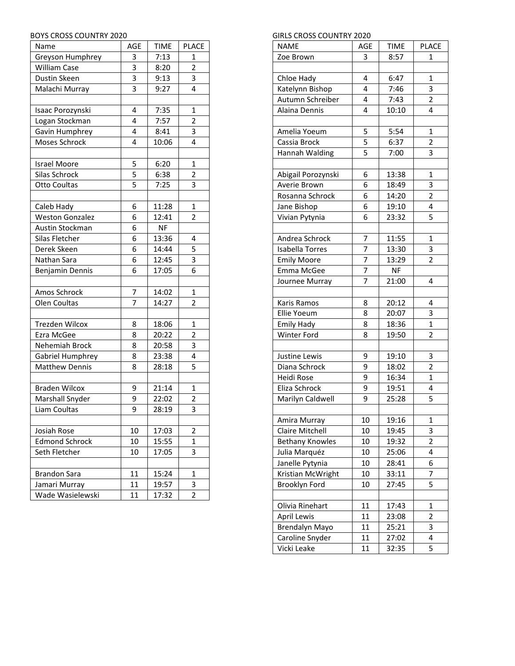## BOYS CROSS COUNTRY 2020

| Name                   | AGE            | <b>TIME</b> | <b>PLACE</b>   |
|------------------------|----------------|-------------|----------------|
| Greyson Humphrey       | 3              | 7:13        | 1              |
| <b>William Case</b>    | 3              | 8:20        | $\overline{2}$ |
| Dustin Skeen           | $\overline{3}$ | 9:13        | 3              |
| Malachi Murray         | 3              | 9:27        | 4              |
|                        |                |             |                |
| Isaac Porozynski       | 4              | 7:35        | 1              |
| Logan Stockman         | 4              | 7:57        | $\overline{2}$ |
| Gavin Humphrey         | 4              | 8:41        | 3              |
| Moses Schrock          | 4              | 10:06       | 4              |
|                        |                |             |                |
| <b>Israel Moore</b>    | 5              | 6:20        | $\mathbf{1}$   |
| Silas Schrock          | 5              | 6:38        | 2              |
| Otto Coultas           | 5              | 7:25        | 3              |
|                        |                |             |                |
| Caleb Hady             | 6              | 11:28       | $\mathbf{1}$   |
| <b>Weston Gonzalez</b> | 6              | 12:41       | 2              |
| Austin Stockman        | 6              | <b>NF</b>   |                |
| Silas Fletcher         | 6              | 13:36       | 4              |
| Derek Skeen            | 6              | 14:44       | 5              |
| Nathan Sara            | 6              | 12:45       | 3              |
| Benjamin Dennis        | 6              | 17:05       | 6              |
|                        |                |             |                |
| Amos Schrock           | 7              | 14:02       | 1              |
| Olen Coultas           | $\overline{7}$ | 14:27       | $\overline{2}$ |
|                        |                |             |                |
| <b>Trezden Wilcox</b>  | 8              | 18:06       | 1              |
| Ezra McGee             | 8              | 20:22       | 2              |
| Nehemiah Brock         | 8              | 20:58       | 3              |
| Gabriel Humphrey       | 8              | 23:38       | 4              |
| <b>Matthew Dennis</b>  | 8              | 28:18       | 5              |
|                        |                |             |                |
| <b>Braden Wilcox</b>   | 9              | 21:14       | $\mathbf{1}$   |
| Marshall Snyder        | 9              | 22:02       | 2              |
| Liam Coultas           | 9              | 28:19       | 3              |
|                        |                |             |                |
| Josiah Rose            | 10             | 17:03       | 2              |
| <b>Edmond Schrock</b>  | 10             | 15:55       | $\mathbf{1}$   |
| Seth Fletcher          | 10             | 17:05       | 3              |
|                        |                |             |                |
| <b>Brandon Sara</b>    | 11             | 15:24       | 1              |
| Jamari Murray          | 11             | 19:57       | 3              |
| Wade Wasielewski       | 11             | 17:32       | 2              |

## GIRLS CROSS COUNTRY 2020

| <b>NAME</b>            | AGE            | <b>TIME</b> | <b>PLACE</b>   |
|------------------------|----------------|-------------|----------------|
| Zoe Brown              | 3              | 8:57        | 1              |
|                        |                |             |                |
| Chloe Hady             | 4              | 6:47        | 1              |
| Katelynn Bishop        | 4              | 7:46        | 3              |
| Autumn Schreiber       | 4              | 7:43        | $\overline{2}$ |
| Alaina Dennis          | 4              | 10:10       | 4              |
|                        |                |             |                |
| Amelia Yoeum           | 5              | 5:54        | 1              |
| Cassia Brock           | 5              | 6:37        | 2              |
| Hannah Walding         | 5              | 7:00        | 3              |
|                        |                |             |                |
| Abigail Porozynski     | 6              | 13:38       | 1              |
| Averie Brown           | 6              | 18:49       | 3              |
| Rosanna Schrock        | 6              | 14:20       | 2              |
| Jane Bishop            | 6              | 19:10       | 4              |
| Vivian Pytynia         | 6              | 23:32       | 5              |
|                        |                |             |                |
| Andrea Schrock         | 7              | 11:55       | 1              |
| <b>Isabella Torres</b> | 7              | 13:30       | 3              |
| <b>Emily Moore</b>     | $\overline{7}$ | 13:29       | $\overline{2}$ |
| Emma McGee             | 7              | <b>NF</b>   |                |
| Journee Murray         | $\overline{7}$ | 21:00       | 4              |
|                        |                |             |                |
| Karis Ramos            | 8              | 20:12       | 4              |
| Ellie Yoeum            | 8              | 20:07       | 3              |
| <b>Emily Hady</b>      | 8              | 18:36       | 1              |
| Winter Ford            | 8              | 19:50       | 2              |
|                        |                |             |                |
| Justine Lewis          | 9              | 19:10       | 3              |
| Diana Schrock          | 9              | 18:02       | 2              |
| Heidi Rose             | 9              | 16:34       | $\mathbf{1}$   |
| Eliza Schrock          | 9              | 19:51       | 4              |
| Marilyn Caldwell       | 9              | 25:28       | 5              |
|                        |                |             |                |
| Amira Murray           | 10             | 19:16       | 1              |
| Claire Mitchell        | 10             | 19:45       | 3              |
| <b>Bethany Knowles</b> | 10             | 19:32       | $\overline{2}$ |
| Julia Marquéz          | 10             | 25:06       | 4              |
| Janelle Pytynia        | 10             | 28:41       | 6              |
| Kristian McWright      | 10             | 33:11       | 7              |
| Brooklyn Ford          | 10             | 27:45       | 5              |
|                        |                |             |                |
| Olivia Rinehart        | 11             | 17:43       | 1              |
| <b>April Lewis</b>     | 11             | 23:08       | $\overline{c}$ |
| Brendalyn Mayo         | 11             | 25:21       | 3              |
| Caroline Snyder        | 11             | 27:02       | 4              |
| Vicki Leake            | 11             | 32:35       | 5              |
|                        |                |             |                |